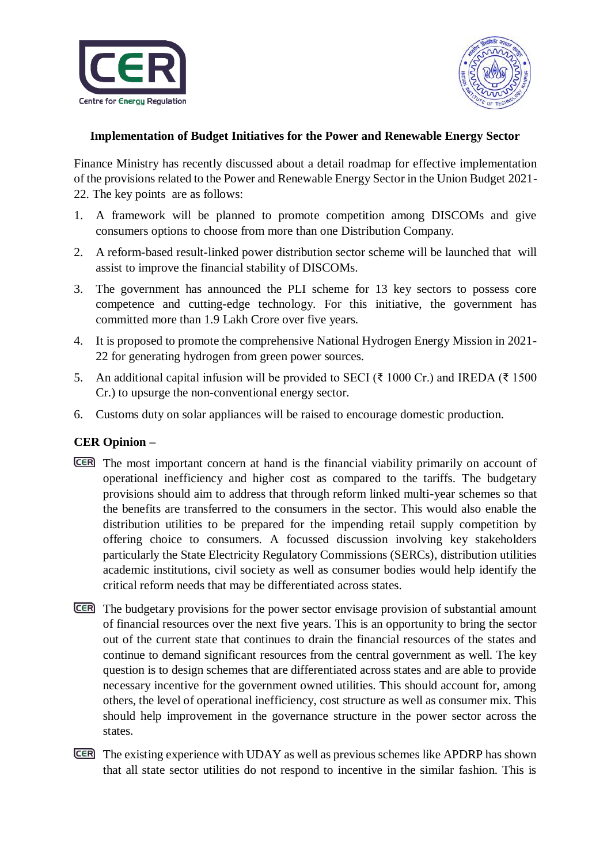



## **Implementation of Budget Initiatives for the Power and Renewable Energy Sector**

Finance Ministry has recently discussed about a detail roadmap for effective implementation of the provisions related to the Power and Renewable Energy Sector in the Union Budget 2021- 22. The key points are as follows:

- 1. A framework will be planned to promote competition among DISCOMs and give consumers options to choose from more than one Distribution Company.
- 2. A reform-based result-linked power distribution sector scheme will be launched that will assist to improve the financial stability of DISCOMs.
- 3. The government has announced the PLI scheme for 13 key sectors to possess core competence and cutting-edge technology. For this initiative, the government has committed more than 1.9 Lakh Crore over five years.
- 4. It is proposed to promote the comprehensive National Hydrogen Energy Mission in 2021- 22 for generating hydrogen from green power sources.
- 5. An additional capital infusion will be provided to SECI ( $\bar{\tau}$  1000 Cr.) and IREDA ( $\bar{\tau}$  1500 Cr.) to upsurge the non-conventional energy sector.
- 6. Customs duty on solar appliances will be raised to encourage domestic production.

## **CER Opinion –**

- The most important concern at hand is the financial viability primarily on account of operational inefficiency and higher cost as compared to the tariffs. The budgetary provisions should aim to address that through reform linked multi-year schemes so that the benefits are transferred to the consumers in the sector. This would also enable the distribution utilities to be prepared for the impending retail supply competition by offering choice to consumers. A focussed discussion involving key stakeholders particularly the State Electricity Regulatory Commissions (SERCs), distribution utilities academic institutions, civil society as well as consumer bodies would help identify the critical reform needs that may be differentiated across states.
- The budgetary provisions for the power sector envisage provision of substantial amount of financial resources over the next five years. This is an opportunity to bring the sector out of the current state that continues to drain the financial resources of the states and continue to demand significant resources from the central government as well. The key question is to design schemes that are differentiated across states and are able to provide necessary incentive for the government owned utilities. This should account for, among others, the level of operational inefficiency, cost structure as well as consumer mix. This should help improvement in the governance structure in the power sector across the states.
- The existing experience with UDAY as well as previous schemes like APDRP has shown that all state sector utilities do not respond to incentive in the similar fashion. This is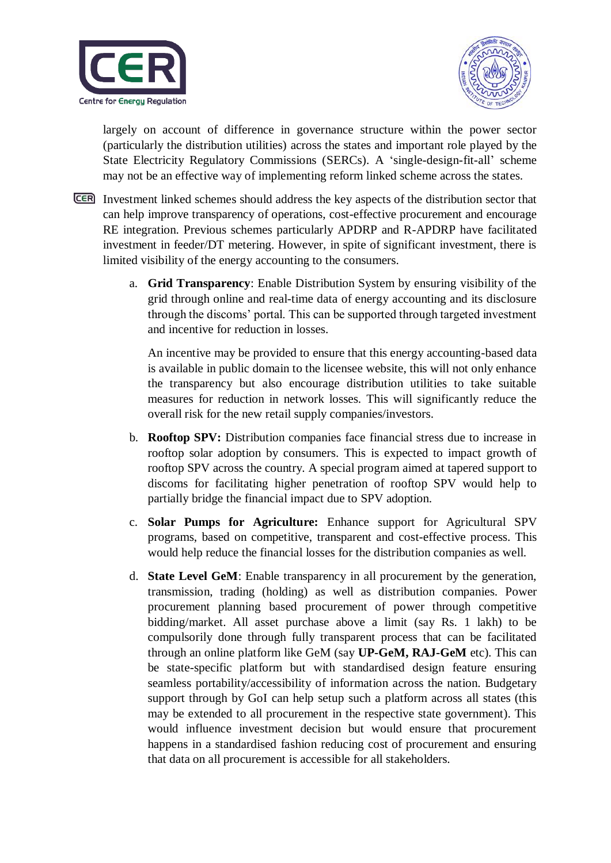



largely on account of difference in governance structure within the power sector (particularly the distribution utilities) across the states and important role played by the State Electricity Regulatory Commissions (SERCs). A 'single-design-fit-all' scheme may not be an effective way of implementing reform linked scheme across the states.

- Investment linked schemes should address the key aspects of the distribution sector that can help improve transparency of operations, cost-effective procurement and encourage RE integration. Previous schemes particularly APDRP and R-APDRP have facilitated investment in feeder/DT metering. However, in spite of significant investment, there is limited visibility of the energy accounting to the consumers.
	- a. **Grid Transparency**: Enable Distribution System by ensuring visibility of the grid through online and real-time data of energy accounting and its disclosure through the discoms' portal. This can be supported through targeted investment and incentive for reduction in losses.

An incentive may be provided to ensure that this energy accounting-based data is available in public domain to the licensee website, this will not only enhance the transparency but also encourage distribution utilities to take suitable measures for reduction in network losses. This will significantly reduce the overall risk for the new retail supply companies/investors.

- b. **Rooftop SPV:** Distribution companies face financial stress due to increase in rooftop solar adoption by consumers. This is expected to impact growth of rooftop SPV across the country. A special program aimed at tapered support to discoms for facilitating higher penetration of rooftop SPV would help to partially bridge the financial impact due to SPV adoption.
- c. **Solar Pumps for Agriculture:** Enhance support for Agricultural SPV programs, based on competitive, transparent and cost-effective process. This would help reduce the financial losses for the distribution companies as well.
- d. **State Level GeM**: Enable transparency in all procurement by the generation, transmission, trading (holding) as well as distribution companies. Power procurement planning based procurement of power through competitive bidding/market. All asset purchase above a limit (say Rs. 1 lakh) to be compulsorily done through fully transparent process that can be facilitated through an online platform like GeM (say **UP-GeM, RAJ-GeM** etc). This can be state-specific platform but with standardised design feature ensuring seamless portability/accessibility of information across the nation. Budgetary support through by GoI can help setup such a platform across all states (this may be extended to all procurement in the respective state government). This would influence investment decision but would ensure that procurement happens in a standardised fashion reducing cost of procurement and ensuring that data on all procurement is accessible for all stakeholders.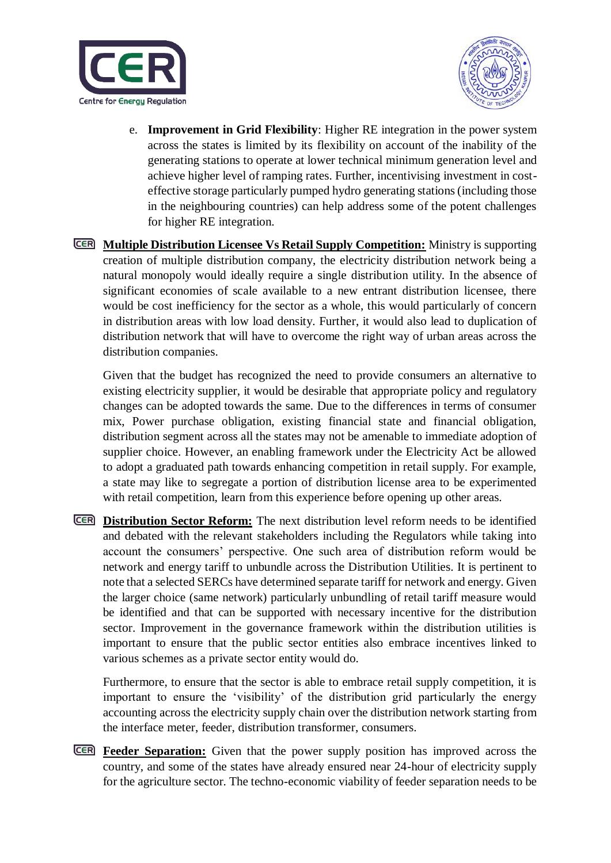



- e. **Improvement in Grid Flexibility**: Higher RE integration in the power system across the states is limited by its flexibility on account of the inability of the generating stations to operate at lower technical minimum generation level and achieve higher level of ramping rates. Further, incentivising investment in costeffective storage particularly pumped hydro generating stations (including those in the neighbouring countries) can help address some of the potent challenges for higher RE integration.
- **Multiple Distribution Licensee Vs Retail Supply Competition:** Ministry is supporting creation of multiple distribution company, the electricity distribution network being a natural monopoly would ideally require a single distribution utility. In the absence of significant economies of scale available to a new entrant distribution licensee, there would be cost inefficiency for the sector as a whole, this would particularly of concern in distribution areas with low load density. Further, it would also lead to duplication of distribution network that will have to overcome the right way of urban areas across the distribution companies.

Given that the budget has recognized the need to provide consumers an alternative to existing electricity supplier, it would be desirable that appropriate policy and regulatory changes can be adopted towards the same. Due to the differences in terms of consumer mix, Power purchase obligation, existing financial state and financial obligation, distribution segment across all the states may not be amenable to immediate adoption of supplier choice. However, an enabling framework under the Electricity Act be allowed to adopt a graduated path towards enhancing competition in retail supply. For example, a state may like to segregate a portion of distribution license area to be experimented with retail competition, learn from this experience before opening up other areas.

**Distribution Sector Reform:** The next distribution level reform needs to be identified and debated with the relevant stakeholders including the Regulators while taking into account the consumers' perspective. One such area of distribution reform would be network and energy tariff to unbundle across the Distribution Utilities. It is pertinent to note that a selected SERCs have determined separate tariff for network and energy. Given the larger choice (same network) particularly unbundling of retail tariff measure would be identified and that can be supported with necessary incentive for the distribution sector. Improvement in the governance framework within the distribution utilities is important to ensure that the public sector entities also embrace incentives linked to various schemes as a private sector entity would do.

Furthermore, to ensure that the sector is able to embrace retail supply competition, it is important to ensure the 'visibility' of the distribution grid particularly the energy accounting across the electricity supply chain over the distribution network starting from the interface meter, feeder, distribution transformer, consumers.

**Feeder Separation:** Given that the power supply position has improved across the country, and some of the states have already ensured near 24-hour of electricity supply for the agriculture sector. The techno-economic viability of feeder separation needs to be